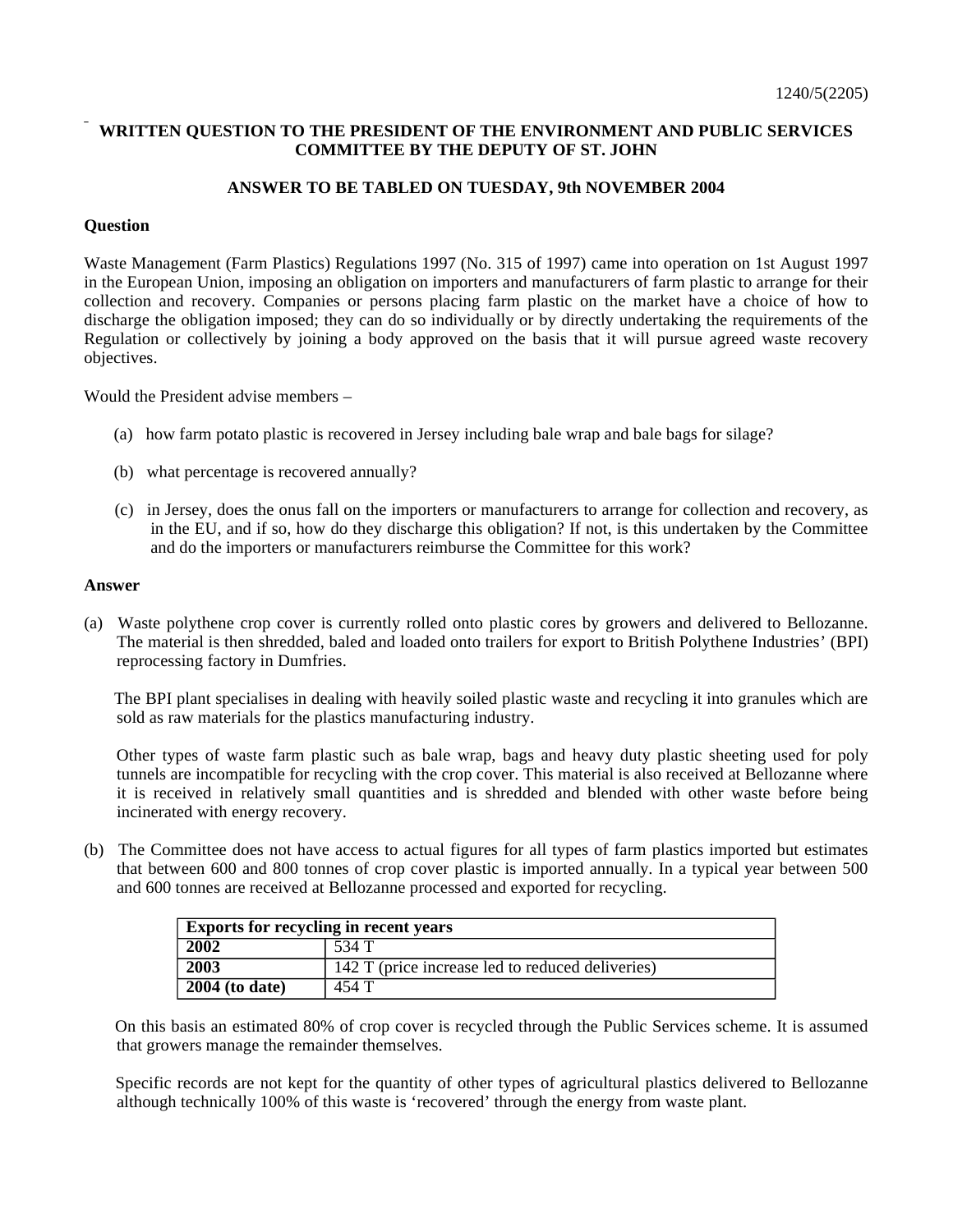## **WRITTEN QUESTION TO THE PRESIDENT OF THE ENVIRONMENT AND PUBLIC SERVICES COMMITTEE BY THE DEPUTY OF ST. JOHN**

## **ANSWER TO BE TABLED ON TUESDAY, 9th NOVEMBER 2004**

## **Question**

Waste Management (Farm Plastics) Regulations 1997 (No. 315 of 1997) came into operation on 1st August 1997 in the European Union, imposing an obligation on importers and manufacturers of farm plastic to arrange for their collection and recovery. Companies or persons placing farm plastic on the market have a choice of how to discharge the obligation imposed; they can do so individually or by directly undertaking the requirements of the Regulation or collectively by joining a body approved on the basis that it will pursue agreed waste recovery objectives.

Would the President advise members –

- (a) how farm potato plastic is recovered in Jersey including bale wrap and bale bags for silage?
- (b) what percentage is recovered annually?
- (c) in Jersey, does the onus fall on the importers or manufacturers to arrange for collection and recovery, as in the EU, and if so, how do they discharge this obligation? If not, is this undertaken by the Committee and do the importers or manufacturers reimburse the Committee for this work?

## **Answer**

(a) Waste polythene crop cover is currently rolled onto plastic cores by growers and delivered to Bellozanne. The material is then shredded, baled and loaded onto trailers for export to British Polythene Industries' (BPI) reprocessing factory in Dumfries.

 The BPI plant specialises in dealing with heavily soiled plastic waste and recycling it into granules which are sold as raw materials for the plastics manufacturing industry.

 Other types of waste farm plastic such as bale wrap, bags and heavy duty plastic sheeting used for poly tunnels are incompatible for recycling with the crop cover. This material is also received at Bellozanne where it is received in relatively small quantities and is shredded and blended with other waste before being incinerated with energy recovery.

(b) The Committee does not have access to actual figures for all types of farm plastics imported but estimates that between 600 and 800 tonnes of crop cover plastic is imported annually. In a typical year between 500 and 600 tonnes are received at Bellozanne processed and exported for recycling.

| <b>Exports for recycling in recent years</b> |                                                  |
|----------------------------------------------|--------------------------------------------------|
| 2002                                         | 534 T                                            |
| $\overline{2003}$                            | 142 T (price increase led to reduced deliveries) |
| $\overline{2004}$ (to date)                  | 454 T                                            |

 On this basis an estimated 80% of crop cover is recycled through the Public Services scheme. It is assumed that growers manage the remainder themselves.

 Specific records are not kept for the quantity of other types of agricultural plastics delivered to Bellozanne although technically 100% of this waste is 'recovered' through the energy from waste plant.